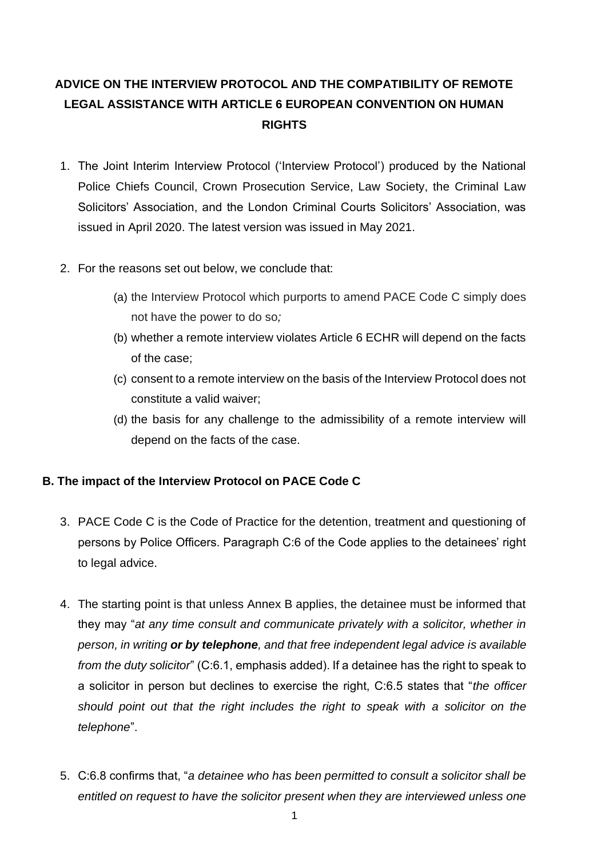# **ADVICE ON THE INTERVIEW PROTOCOL AND THE COMPATIBILITY OF REMOTE LEGAL ASSISTANCE WITH ARTICLE 6 EUROPEAN CONVENTION ON HUMAN RIGHTS**

- 1. The Joint Interim Interview Protocol ('Interview Protocol') produced by the National Police Chiefs Council, Crown Prosecution Service, Law Society, the Criminal Law Solicitors' Association, and the London Criminal Courts Solicitors' Association, was issued in April 2020. The latest version was issued in May 2021.
- 2. For the reasons set out below, we conclude that:
	- (a) the Interview Protocol which purports to amend PACE Code C simply does not have the power to do so*;*
	- (b) whether a remote interview violates Article 6 ECHR will depend on the facts of the case;
	- (c) consent to a remote interview on the basis of the Interview Protocol does not constitute a valid waiver;
	- (d) the basis for any challenge to the admissibility of a remote interview will depend on the facts of the case.

## **B. The impact of the Interview Protocol on PACE Code C**

- 3. PACE Code C is the Code of Practice for the detention, treatment and questioning of persons by Police Officers. Paragraph C:6 of the Code applies to the detainees' right to legal advice.
- 4. The starting point is that unless Annex B applies, the detainee must be informed that they may "*at any time consult and communicate privately with a solicitor, whether in person, in writing or by telephone, and that free independent legal advice is available from the duty solicitor*" (C:6.1, emphasis added). If a detainee has the right to speak to a solicitor in person but declines to exercise the right, C:6.5 states that "*the officer should point out that the right includes the right to speak with a solicitor on the telephone*".
- 5. C:6.8 confirms that, "*a detainee who has been permitted to consult a solicitor shall be entitled on request to have the solicitor present when they are interviewed unless one*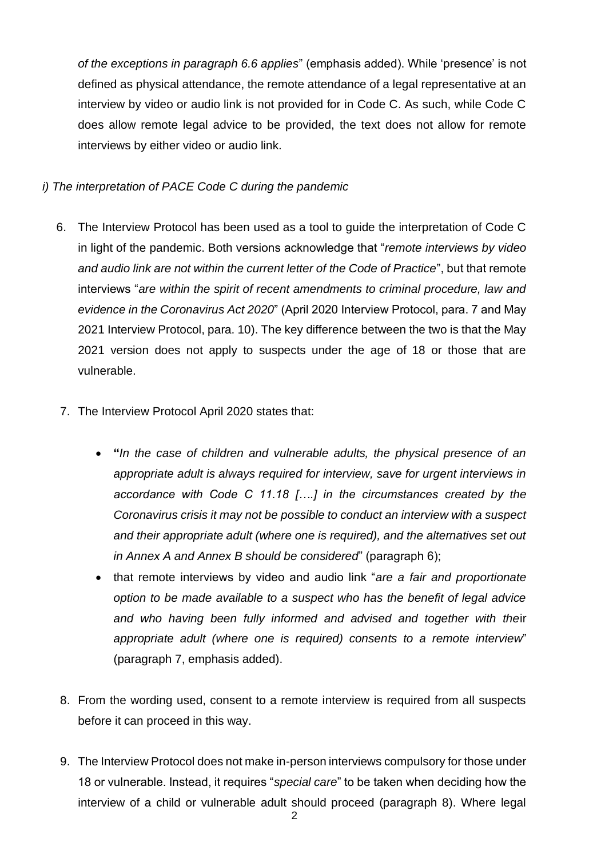*of the exceptions in paragraph 6.6 applies*" (emphasis added). While 'presence' is not defined as physical attendance, the remote attendance of a legal representative at an interview by video or audio link is not provided for in Code C. As such, while Code C does allow remote legal advice to be provided, the text does not allow for remote interviews by either video or audio link.

## *i) The interpretation of PACE Code C during the pandemic*

- 6. The Interview Protocol has been used as a tool to guide the interpretation of Code C in light of the pandemic. Both versions acknowledge that "*remote interviews by video and audio link are not within the current letter of the Code of Practice*", but that remote interviews "*are within the spirit of recent amendments to criminal procedure, law and evidence in the Coronavirus Act 2020*" (April 2020 Interview Protocol, para. 7 and May 2021 Interview Protocol, para. 10). The key difference between the two is that the May 2021 version does not apply to suspects under the age of 18 or those that are vulnerable.
- 7. The Interview Protocol April 2020 states that:
	- **"***In the case of children and vulnerable adults, the physical presence of an appropriate adult is always required for interview, save for urgent interviews in accordance with Code C 11.18 [….] in the circumstances created by the Coronavirus crisis it may not be possible to conduct an interview with a suspect and their appropriate adult (where one is required), and the alternatives set out in Annex A and Annex B should be considered*" (paragraph 6);
	- that remote interviews by video and audio link "*are a fair and proportionate option to be made available to a suspect who has the benefit of legal advice and who having been fully informed and advised and together with the*ir *appropriate adult (where one is required) consents to a remote interview*" (paragraph 7, emphasis added).
- 8. From the wording used, consent to a remote interview is required from all suspects before it can proceed in this way.
- 9. The Interview Protocol does not make in-person interviews compulsory for those under 18 or vulnerable. Instead, it requires "*special care*" to be taken when deciding how the interview of a child or vulnerable adult should proceed (paragraph 8). Where legal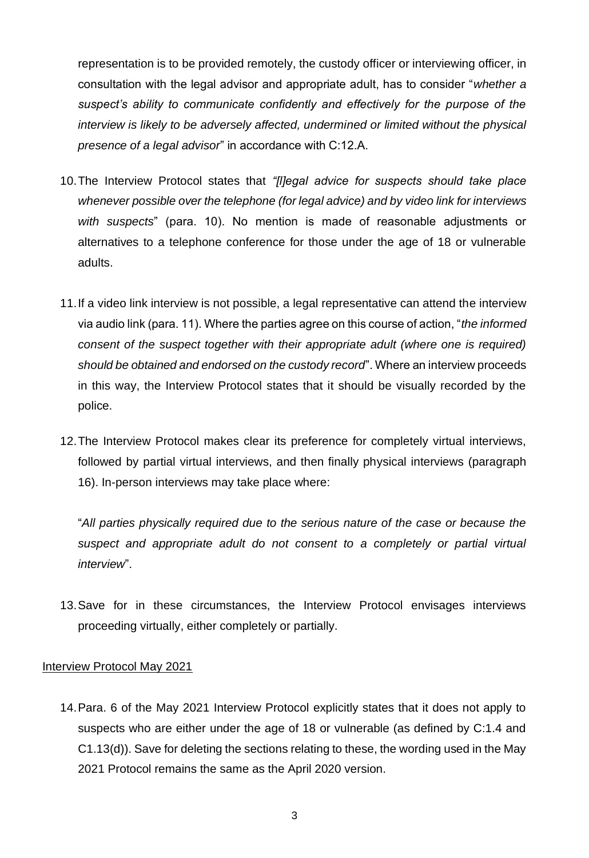representation is to be provided remotely, the custody officer or interviewing officer, in consultation with the legal advisor and appropriate adult, has to consider "*whether a suspect's ability to communicate confidently and effectively for the purpose of the interview is likely to be adversely affected, undermined or limited without the physical presence of a legal advisor*" in accordance with C:12.A.

- 10.The Interview Protocol states that *"[l]egal advice for suspects should take place whenever possible over the telephone (for legal advice) and by video link for interviews with suspects*" (para. 10). No mention is made of reasonable adjustments or alternatives to a telephone conference for those under the age of 18 or vulnerable adults.
- 11.If a video link interview is not possible, a legal representative can attend the interview via audio link (para. 11). Where the parties agree on this course of action, "*the informed consent of the suspect together with their appropriate adult (where one is required) should be obtained and endorsed on the custody record*". Where an interview proceeds in this way, the Interview Protocol states that it should be visually recorded by the police.
- 12.The Interview Protocol makes clear its preference for completely virtual interviews, followed by partial virtual interviews, and then finally physical interviews (paragraph 16). In-person interviews may take place where:

"*All parties physically required due to the serious nature of the case or because the suspect and appropriate adult do not consent to a completely or partial virtual interview*".

13.Save for in these circumstances, the Interview Protocol envisages interviews proceeding virtually, either completely or partially.

#### Interview Protocol May 2021

14.Para. 6 of the May 2021 Interview Protocol explicitly states that it does not apply to suspects who are either under the age of 18 or vulnerable (as defined by C:1.4 and C1.13(d)). Save for deleting the sections relating to these, the wording used in the May 2021 Protocol remains the same as the April 2020 version.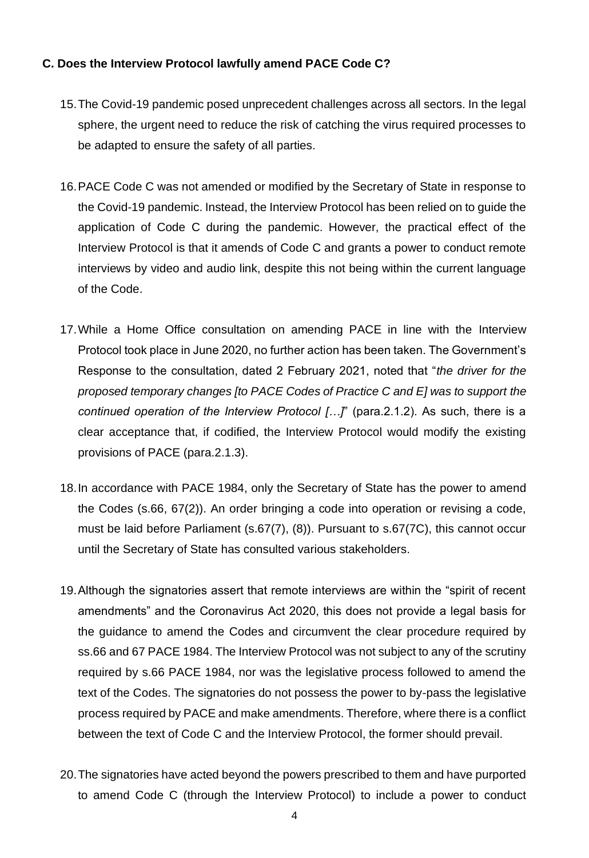## **C. Does the Interview Protocol lawfully amend PACE Code C?**

- 15.The Covid-19 pandemic posed unprecedent challenges across all sectors. In the legal sphere, the urgent need to reduce the risk of catching the virus required processes to be adapted to ensure the safety of all parties.
- 16.PACE Code C was not amended or modified by the Secretary of State in response to the Covid-19 pandemic. Instead, the Interview Protocol has been relied on to guide the application of Code C during the pandemic. However, the practical effect of the Interview Protocol is that it amends of Code C and grants a power to conduct remote interviews by video and audio link, despite this not being within the current language of the Code.
- 17.While a Home Office consultation on amending PACE in line with the Interview Protocol took place in June 2020, no further action has been taken. The Government's Response to the consultation, dated 2 February 2021, noted that "*the driver for the proposed temporary changes [to PACE Codes of Practice C and E] was to support the continued operation of the Interview Protocol […]*" (para.2.1.2). As such, there is a clear acceptance that, if codified, the Interview Protocol would modify the existing provisions of PACE (para.2.1.3).
- 18.In accordance with PACE 1984, only the Secretary of State has the power to amend the Codes (s.66, 67(2)). An order bringing a code into operation or revising a code, must be laid before Parliament (s.67(7), (8)). Pursuant to s.67(7C), this cannot occur until the Secretary of State has consulted various stakeholders.
- 19.Although the signatories assert that remote interviews are within the "spirit of recent amendments" and the Coronavirus Act 2020, this does not provide a legal basis for the guidance to amend the Codes and circumvent the clear procedure required by ss.66 and 67 PACE 1984. The Interview Protocol was not subject to any of the scrutiny required by s.66 PACE 1984, nor was the legislative process followed to amend the text of the Codes. The signatories do not possess the power to by-pass the legislative process required by PACE and make amendments. Therefore, where there is a conflict between the text of Code C and the Interview Protocol, the former should prevail.
- 20.The signatories have acted beyond the powers prescribed to them and have purported to amend Code C (through the Interview Protocol) to include a power to conduct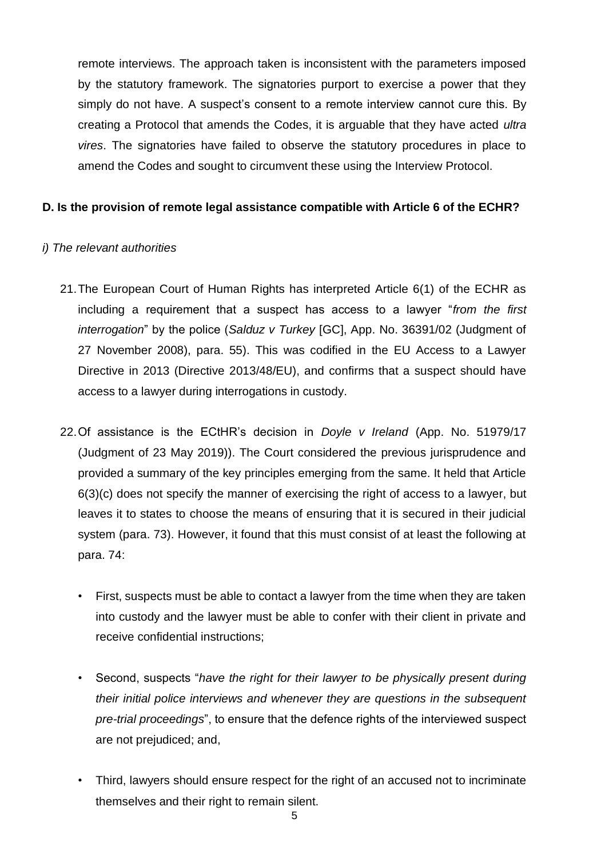remote interviews. The approach taken is inconsistent with the parameters imposed by the statutory framework. The signatories purport to exercise a power that they simply do not have. A suspect's consent to a remote interview cannot cure this. By creating a Protocol that amends the Codes, it is arguable that they have acted *ultra vires*. The signatories have failed to observe the statutory procedures in place to amend the Codes and sought to circumvent these using the Interview Protocol.

## **D. Is the provision of remote legal assistance compatible with Article 6 of the ECHR?**

#### *i) The relevant authorities*

- 21.The European Court of Human Rights has interpreted Article 6(1) of the ECHR as including a requirement that a suspect has access to a lawyer "*from the first interrogation*" by the police (*Salduz v Turkey* [GC], App. No. 36391/02 (Judgment of 27 November 2008), para. 55). This was codified in the EU Access to a Lawyer Directive in 2013 (Directive 2013/48/EU), and confirms that a suspect should have access to a lawyer during interrogations in custody.
- 22.Of assistance is the ECtHR's decision in *Doyle v Ireland* (App. No. 51979/17 (Judgment of 23 May 2019)). The Court considered the previous jurisprudence and provided a summary of the key principles emerging from the same. It held that Article 6(3)(c) does not specify the manner of exercising the right of access to a lawyer, but leaves it to states to choose the means of ensuring that it is secured in their judicial system (para. 73). However, it found that this must consist of at least the following at para. 74:
	- First, suspects must be able to contact a lawyer from the time when they are taken into custody and the lawyer must be able to confer with their client in private and receive confidential instructions;
	- Second, suspects "*have the right for their lawyer to be physically present during their initial police interviews and whenever they are questions in the subsequent pre-trial proceedings*", to ensure that the defence rights of the interviewed suspect are not prejudiced; and,
	- Third, lawyers should ensure respect for the right of an accused not to incriminate themselves and their right to remain silent.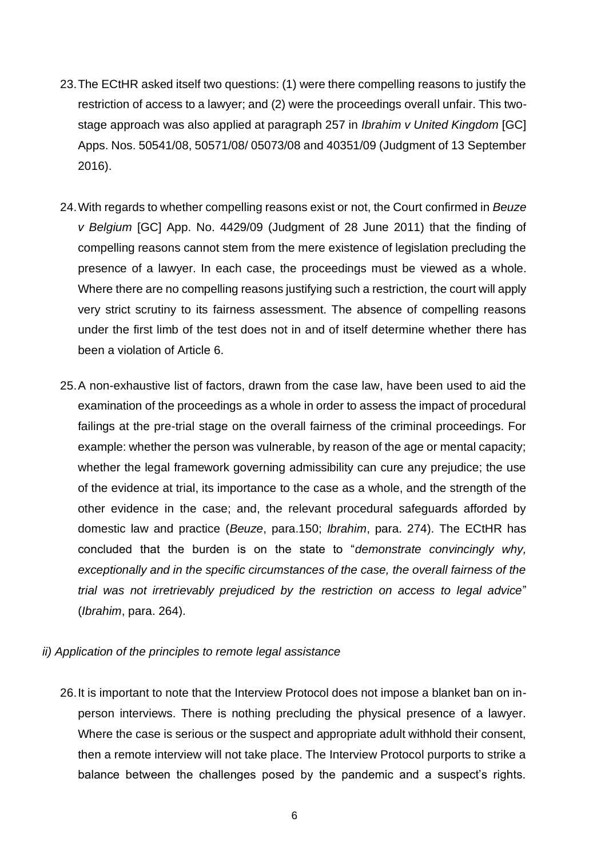- 23.The ECtHR asked itself two questions: (1) were there compelling reasons to justify the restriction of access to a lawyer; and (2) were the proceedings overall unfair. This twostage approach was also applied at paragraph 257 in *Ibrahim v United Kingdom* [GC] Apps. Nos. 50541/08, 50571/08/ 05073/08 and 40351/09 (Judgment of 13 September 2016).
- 24.With regards to whether compelling reasons exist or not, the Court confirmed in *Beuze v Belgium* [GC] App. No. 4429/09 (Judgment of 28 June 2011) that the finding of compelling reasons cannot stem from the mere existence of legislation precluding the presence of a lawyer. In each case, the proceedings must be viewed as a whole. Where there are no compelling reasons justifying such a restriction, the court will apply very strict scrutiny to its fairness assessment. The absence of compelling reasons under the first limb of the test does not in and of itself determine whether there has been a violation of Article 6.
- 25.A non-exhaustive list of factors, drawn from the case law, have been used to aid the examination of the proceedings as a whole in order to assess the impact of procedural failings at the pre-trial stage on the overall fairness of the criminal proceedings. For example: whether the person was vulnerable, by reason of the age or mental capacity; whether the legal framework governing admissibility can cure any prejudice; the use of the evidence at trial, its importance to the case as a whole, and the strength of the other evidence in the case; and, the relevant procedural safeguards afforded by domestic law and practice (*Beuze*, para.150; *Ibrahim*, para. 274). The ECtHR has concluded that the burden is on the state to "*demonstrate convincingly why, exceptionally and in the specific circumstances of the case, the overall fairness of the trial was not irretrievably prejudiced by the restriction on access to legal advice*" (*Ibrahim*, para. 264).

#### *ii) Application of the principles to remote legal assistance*

26.It is important to note that the Interview Protocol does not impose a blanket ban on inperson interviews. There is nothing precluding the physical presence of a lawyer. Where the case is serious or the suspect and appropriate adult withhold their consent, then a remote interview will not take place. The Interview Protocol purports to strike a balance between the challenges posed by the pandemic and a suspect's rights.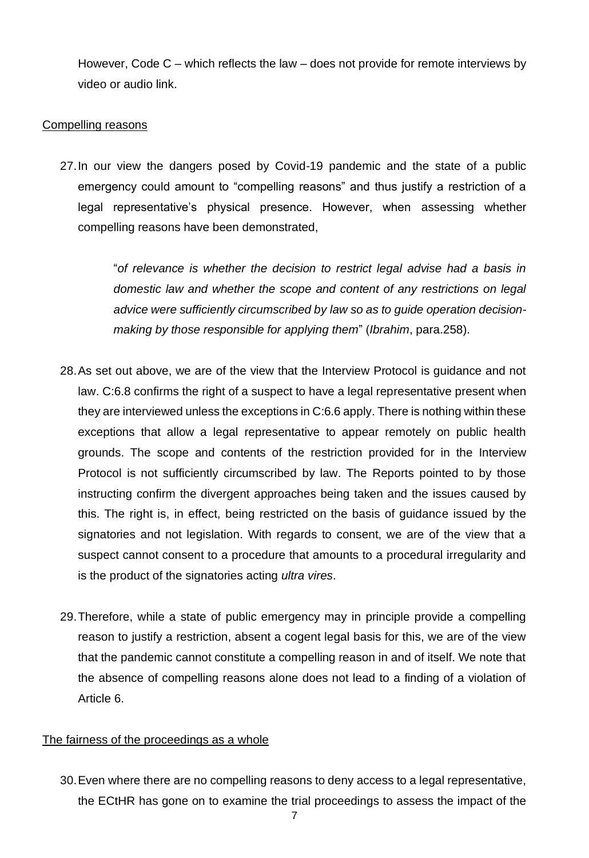However, Code C – which reflects the law – does not provide for remote interviews by video or audio link.

### Compelling reasons

27.In our view the dangers posed by Covid-19 pandemic and the state of a public emergency could amount to "compelling reasons" and thus justify a restriction of a legal representative's physical presence. However, when assessing whether compelling reasons have been demonstrated,

> "*of relevance is whether the decision to restrict legal advise had a basis in domestic law and whether the scope and content of any restrictions on legal advice were sufficiently circumscribed by law so as to guide operation decisionmaking by those responsible for applying them*" (*Ibrahim*, para.258).

- 28.As set out above, we are of the view that the Interview Protocol is guidance and not law. C:6.8 confirms the right of a suspect to have a legal representative present when they are interviewed unless the exceptions in C:6.6 apply. There is nothing within these exceptions that allow a legal representative to appear remotely on public health grounds. The scope and contents of the restriction provided for in the Interview Protocol is not sufficiently circumscribed by law. The Reports pointed to by those instructing confirm the divergent approaches being taken and the issues caused by this. The right is, in effect, being restricted on the basis of guidance issued by the signatories and not legislation. With regards to consent, we are of the view that a suspect cannot consent to a procedure that amounts to a procedural irregularity and is the product of the signatories acting *ultra vires*.
- 29.Therefore, while a state of public emergency may in principle provide a compelling reason to justify a restriction, absent a cogent legal basis for this, we are of the view that the pandemic cannot constitute a compelling reason in and of itself. We note that the absence of compelling reasons alone does not lead to a finding of a violation of Article 6.

## The fairness of the proceedings as a whole

30.Even where there are no compelling reasons to deny access to a legal representative, the ECtHR has gone on to examine the trial proceedings to assess the impact of the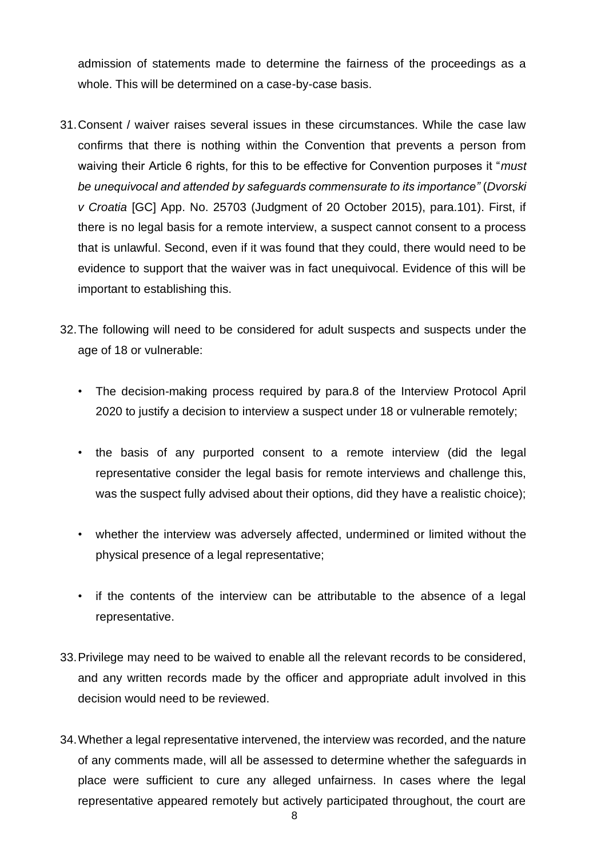admission of statements made to determine the fairness of the proceedings as a whole. This will be determined on a case-by-case basis.

- 31.Consent / waiver raises several issues in these circumstances. While the case law confirms that there is nothing within the Convention that prevents a person from waiving their Article 6 rights, for this to be effective for Convention purposes it "*must be unequivocal and attended by safeguards commensurate to its importance"* (*Dvorski v Croatia* [GC] App. No. 25703 (Judgment of 20 October 2015), para.101). First, if there is no legal basis for a remote interview, a suspect cannot consent to a process that is unlawful. Second, even if it was found that they could, there would need to be evidence to support that the waiver was in fact unequivocal. Evidence of this will be important to establishing this.
- 32.The following will need to be considered for adult suspects and suspects under the age of 18 or vulnerable:
	- The decision-making process required by para.8 of the Interview Protocol April 2020 to justify a decision to interview a suspect under 18 or vulnerable remotely;
	- the basis of any purported consent to a remote interview (did the legal representative consider the legal basis for remote interviews and challenge this, was the suspect fully advised about their options, did they have a realistic choice);
	- whether the interview was adversely affected, undermined or limited without the physical presence of a legal representative;
	- if the contents of the interview can be attributable to the absence of a legal representative.
- 33.Privilege may need to be waived to enable all the relevant records to be considered, and any written records made by the officer and appropriate adult involved in this decision would need to be reviewed.
- 34.Whether a legal representative intervened, the interview was recorded, and the nature of any comments made, will all be assessed to determine whether the safeguards in place were sufficient to cure any alleged unfairness. In cases where the legal representative appeared remotely but actively participated throughout, the court are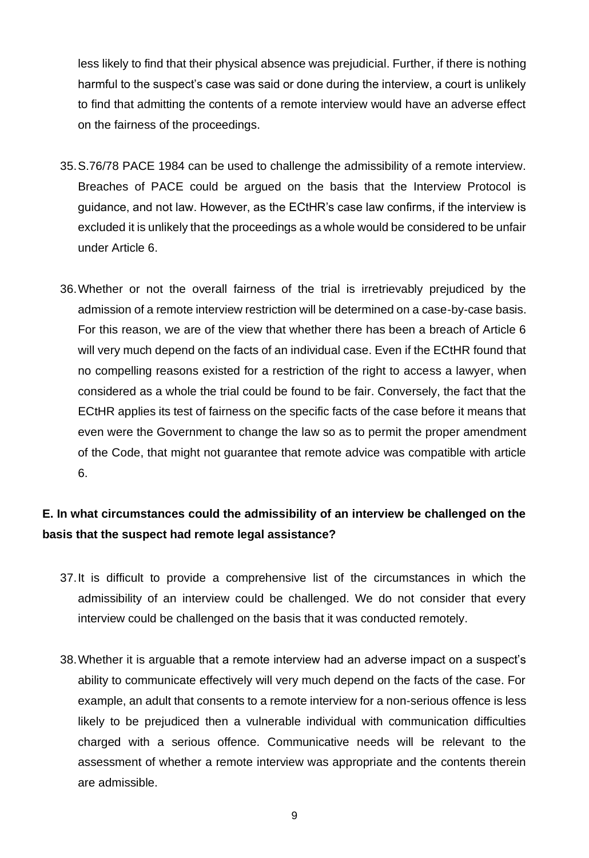less likely to find that their physical absence was prejudicial. Further, if there is nothing harmful to the suspect's case was said or done during the interview, a court is unlikely to find that admitting the contents of a remote interview would have an adverse effect on the fairness of the proceedings.

- 35.S.76/78 PACE 1984 can be used to challenge the admissibility of a remote interview. Breaches of PACE could be argued on the basis that the Interview Protocol is guidance, and not law. However, as the ECtHR's case law confirms, if the interview is excluded it is unlikely that the proceedings as a whole would be considered to be unfair under Article 6.
- 36.Whether or not the overall fairness of the trial is irretrievably prejudiced by the admission of a remote interview restriction will be determined on a case-by-case basis. For this reason, we are of the view that whether there has been a breach of Article 6 will very much depend on the facts of an individual case. Even if the ECtHR found that no compelling reasons existed for a restriction of the right to access a lawyer, when considered as a whole the trial could be found to be fair. Conversely, the fact that the ECtHR applies its test of fairness on the specific facts of the case before it means that even were the Government to change the law so as to permit the proper amendment of the Code, that might not guarantee that remote advice was compatible with article 6.

## **E. In what circumstances could the admissibility of an interview be challenged on the basis that the suspect had remote legal assistance?**

- 37.It is difficult to provide a comprehensive list of the circumstances in which the admissibility of an interview could be challenged. We do not consider that every interview could be challenged on the basis that it was conducted remotely.
- 38.Whether it is arguable that a remote interview had an adverse impact on a suspect's ability to communicate effectively will very much depend on the facts of the case. For example, an adult that consents to a remote interview for a non-serious offence is less likely to be prejudiced then a vulnerable individual with communication difficulties charged with a serious offence. Communicative needs will be relevant to the assessment of whether a remote interview was appropriate and the contents therein are admissible.